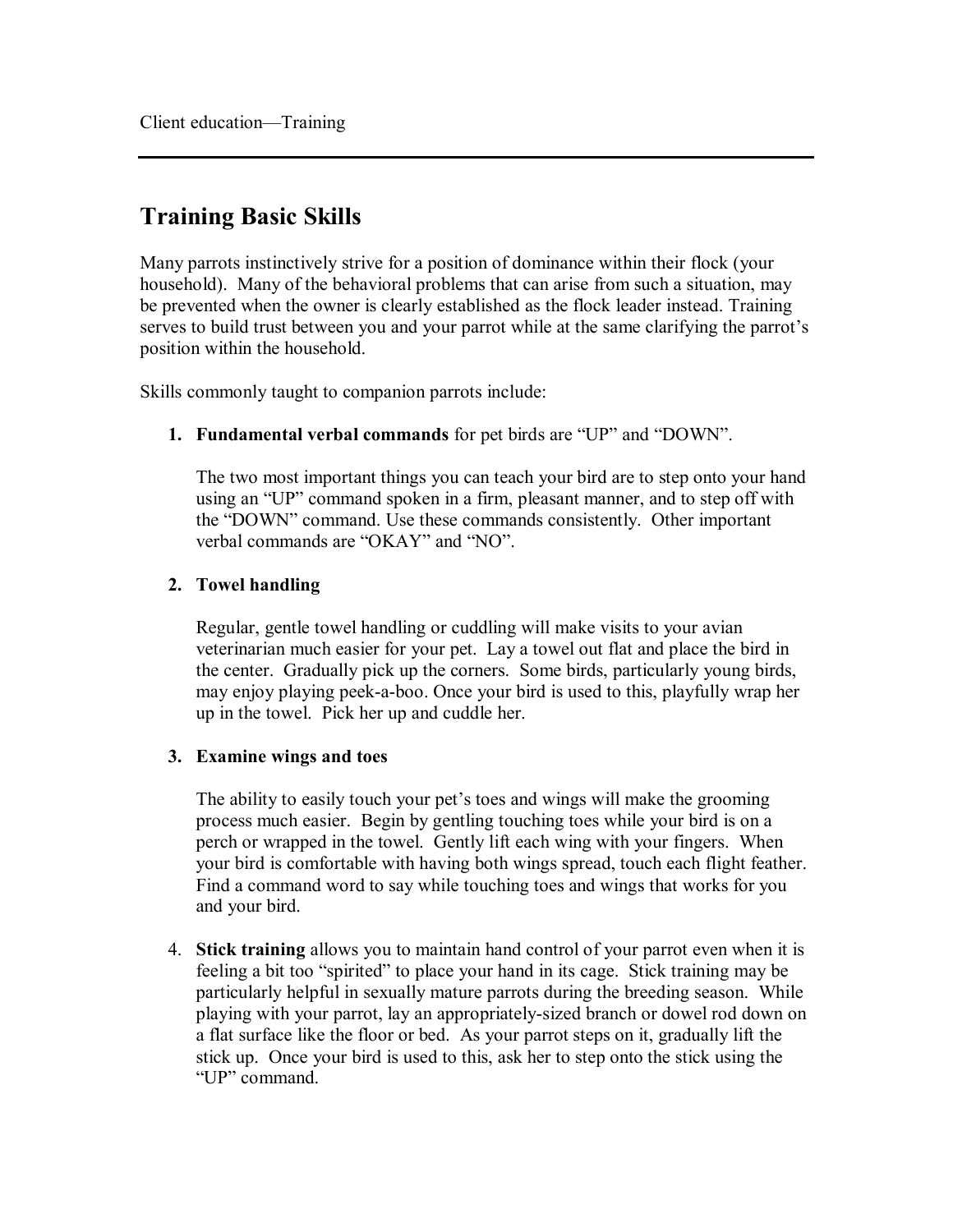# **Training Basic Skills**

Many parrots instinctively strive for a position of dominance within their flock (your household). Many of the behavioral problems that can arise from such a situation, may be prevented when the owner is clearly established as the flock leader instead. Training serves to build trust between you and your parrot while at the same clarifying the parrot's position within the household.

Skills commonly taught to companion parrots include:

**1. Fundamental verbal commands** for pet birds are "UP" and "DOWN".

The two most important things you can teach your bird are to step onto your hand using an "UP" command spoken in a firm, pleasant manner, and to step off with the "DOWN" command. Use these commands consistently. Other important verbal commands are "OKAY" and "NO".

## **2. Towel handling**

Regular, gentle towel handling or cuddling will make visits to your avian veterinarian much easier for your pet. Lay a towel out flat and place the bird in the center. Gradually pick up the corners. Some birds, particularly young birds, may enjoy playing peek-a-boo. Once your bird is used to this, playfully wrap her up in the towel. Pick her up and cuddle her.

## **3. Examine wings and toes**

The ability to easily touch your pet's toes and wings will make the grooming process much easier. Begin by gentling touching toes while your bird is on a perch or wrapped in the towel. Gently lift each wing with your fingers. When your bird is comfortable with having both wings spread, touch each flight feather. Find a command word to say while touching toes and wings that works for you and your bird.

4. **Stick training** allows you to maintain hand control of your parrot even when it is feeling a bit too "spirited" to place your hand in its cage. Stick training may be particularly helpful in sexually mature parrots during the breeding season. While playing with your parrot, lay an appropriately-sized branch or dowel rod down on a flat surface like the floor or bed. As your parrot steps on it, gradually lift the stick up. Once your bird is used to this, ask her to step onto the stick using the "UP" command.